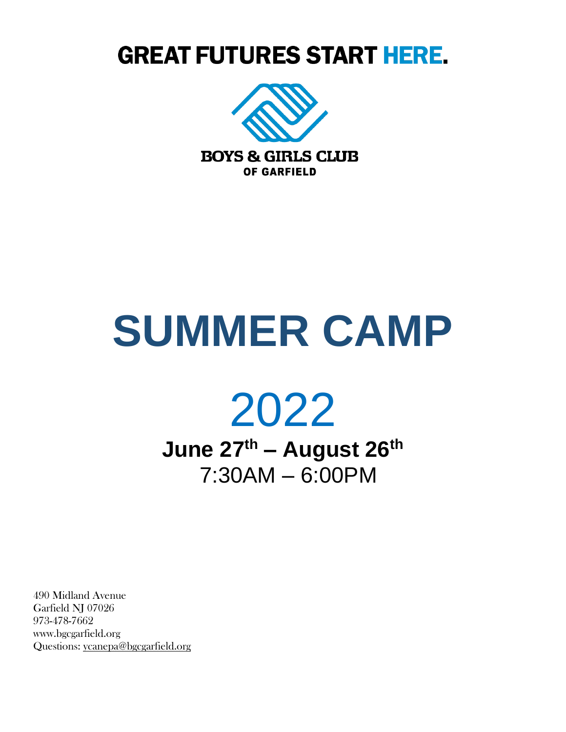# **GREAT FUTURES START HERE.**



# **SUMMER CAMP**



**June 27th – August 26th** 7:30AM – 6:00PM

490 Midland Avenue Garfield NJ 07026 973-478-7662 www.bgcgarfield.org Questions: [ycanepa@bgcgarfield.org](mailto:ycanepa@bgcgarfield.org)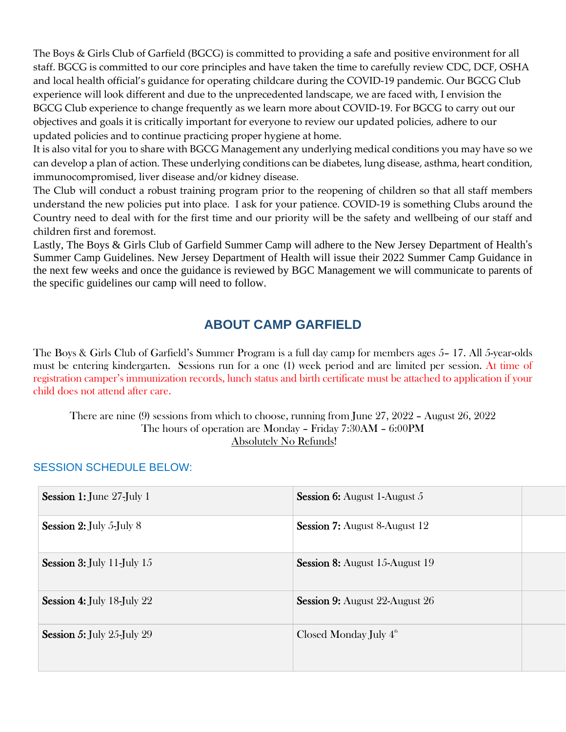The Boys & Girls Club of Garfield (BGCG) is committed to providing a safe and positive environment for all staff. BGCG is committed to our core principles and have taken the time to carefully review CDC, DCF, OSHA and local health official's guidance for operating childcare during the COVID-19 pandemic. Our BGCG Club experience will look different and due to the unprecedented landscape, we are faced with, I envision the BGCG Club experience to change frequently as we learn more about COVID-19. For BGCG to carry out our objectives and goals it is critically important for everyone to review our updated policies, adhere to our updated policies and to continue practicing proper hygiene at home.

It is also vital for you to share with BGCG Management any underlying medical conditions you may have so we can develop a plan of action. These underlying conditions can be diabetes, lung disease, asthma, heart condition, immunocompromised, liver disease and/or kidney disease.

The Club will conduct a robust training program prior to the reopening of children so that all staff members understand the new policies put into place. I ask for your patience. COVID-19 is something Clubs around the Country need to deal with for the first time and our priority will be the safety and wellbeing of our staff and children first and foremost.

Lastly, The Boys & Girls Club of Garfield Summer Camp will adhere to the New Jersey Department of Health's Summer Camp Guidelines. New Jersey Department of Health will issue their 2022 Summer Camp Guidance in the next few weeks and once the guidance is reviewed by BGC Management we will communicate to parents of the specific guidelines our camp will need to follow.

# **ABOUT CAMP GARFIELD**

The Boys & Girls Club of Garfield's Summer Program is a full day camp for members ages 5– 17. All 5-year-olds must be entering kindergarten. Sessions run for a one (1) week period and are limited per session. At time of registration camper's immunization records, lunch status and birth certificate must be attached to application if your child does not attend after care.

There are nine (9) sessions from which to choose, running from June 27, 2022 – August 26, 2022 The hours of operation are Monday – Friday 7:30AM – 6:00PM Absolutely No Refunds!

# Session 1: June 27-July 1 Session 6: August 1-August 5 Session 2: July 5-July 8 Session 7: August 8-August 12 Session 3: July 11-July 15 Session 8: August 15-August 19 Session 4: July 18-July 22 Session 9: August 22-August 26 **Session 5: July 25-July 29** th

#### SESSION SCHEDULE BELOW: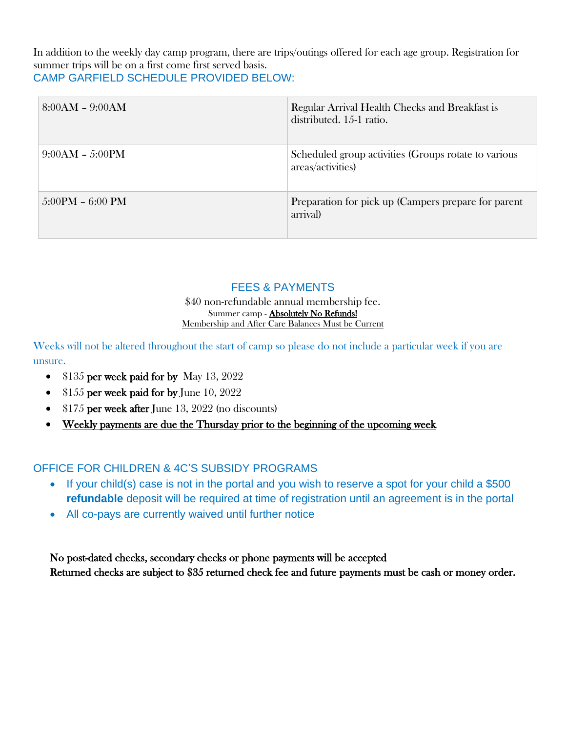In addition to the weekly day camp program, there are trips/outings offered for each age group. Registration for summer trips will be on a first come first served basis. CAMP GARFIELD SCHEDULE PROVIDED BELOW:

| $8:00AM - 9:00AM$  | Regular Arrival Health Checks and Breakfast is<br>distributed. 15-1 ratio. |
|--------------------|----------------------------------------------------------------------------|
| $9:00AM - 5:00PM$  | Scheduled group activities (Groups rotate to various<br>areas/activities)  |
| $5:00PM - 6:00 PM$ | Preparation for pick up (Campers prepare for parent<br>arrival)            |

# FEES & PAYMENTS

#### \$40 non-refundable annual membership fee. Summer camp - Absolutely No Refunds! Membership and After Care Balances Must be Current

Weeks will not be altered throughout the start of camp so please do not include a particular week if you are unsure.

- \$135 per week paid for by May 13, 2022
- \$155 per week paid for by June 10, 2022
- \$175 per week after June 13, 2022 (no discounts)
- Weekly payments are due the Thursday prior to the beginning of the upcoming week

# OFFICE FOR CHILDREN & 4C'S SUBSIDY PROGRAMS

- If your child(s) case is not in the portal and you wish to reserve a spot for your child a \$500 **refundable** deposit will be required at time of registration until an agreement is in the portal
- All co-pays are currently waived until further notice

 No post-dated checks, secondary checks or phone payments will be accepted Returned checks are subject to \$35 returned check fee and future payments must be cash or money order.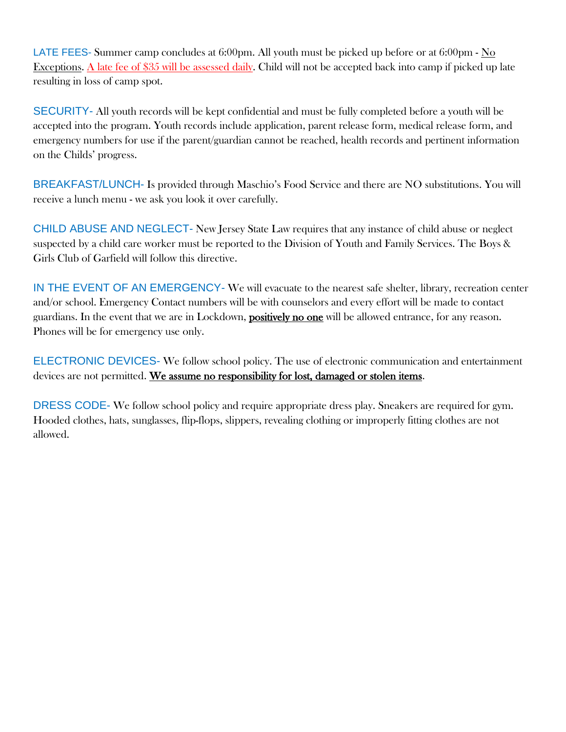LATE FEES- Summer camp concludes at 6:00pm. All youth must be picked up before or at 6:00pm - No Exceptions. A late fee of \$35 will be assessed daily. Child will not be accepted back into camp if picked up late resulting in loss of camp spot.

SECURITY- All youth records will be kept confidential and must be fully completed before a youth will be accepted into the program. Youth records include application, parent release form, medical release form, and emergency numbers for use if the parent/guardian cannot be reached, health records and pertinent information on the Childs' progress.

BREAKFAST/LUNCH- Is provided through Maschio's Food Service and there are NO substitutions. You will receive a lunch menu - we ask you look it over carefully.

CHILD ABUSE AND NEGLECT- New Jersey State Law requires that any instance of child abuse or neglect suspected by a child care worker must be reported to the Division of Youth and Family Services. The Boys & Girls Club of Garfield will follow this directive.

IN THE EVENT OF AN EMERGENCY- We will evacuate to the nearest safe shelter, library, recreation center and/or school. Emergency Contact numbers will be with counselors and every effort will be made to contact guardians. In the event that we are in Lockdown, positively no one will be allowed entrance, for any reason. Phones will be for emergency use only.

ELECTRONIC DEVICES- We follow school policy. The use of electronic communication and entertainment devices are not permitted. We assume no responsibility for lost, damaged or stolen items.

DRESS CODE- We follow school policy and require appropriate dress play. Sneakers are required for gym. Hooded clothes, hats, sunglasses, flip-flops, slippers, revealing clothing or improperly fitting clothes are not allowed.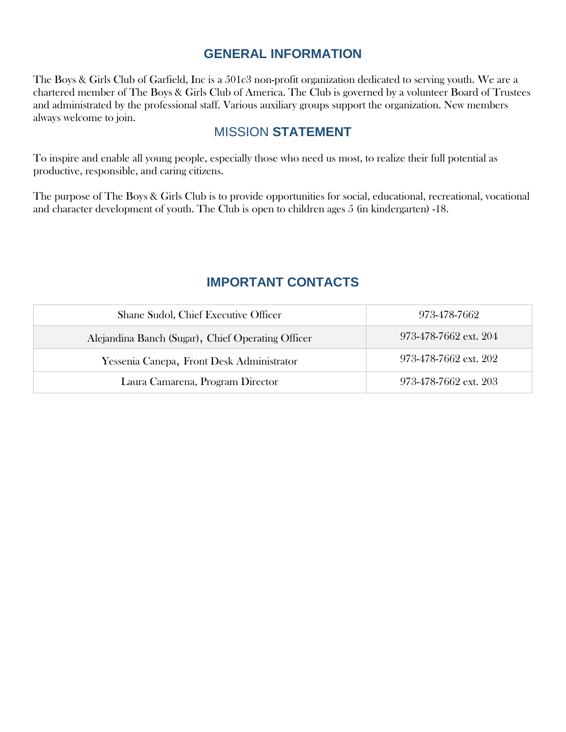# **GENERAL INFORMATION**

The Boys & Girls Club of Garfield, Inc is a 501c3 non-profit organization dedicated to serving youth. We are a chartered member of The Boys & Girls Club of America. The Club is governed by a volunteer Board of Trustees and administrated by the professional staff. Various auxiliary groups support the organization. New members always welcome to join.

# MISSION **STATEMENT**

To inspire and enable all young people, especially those who need us most, to realize their full potential as productive, responsible, and caring citizens.

The purpose of The Boys & Girls Club is to provide opportunities for social, educational, recreational, vocational and character development of youth. The Club is open to children ages 5 (in kindergarten) -18.

# **IMPORTANT CONTACTS**

| Shane Sudol, Chief Executive Officer              | 973-478-7662          |
|---------------------------------------------------|-----------------------|
| Alejandina Banch (Sugar), Chief Operating Officer | 973-478-7662 ext. 204 |
| Yessenia Canepa, Front Desk Administrator         | 973-478-7662 ext. 202 |
| Laura Camarena, Program Director                  | 973-478-7662 ext. 203 |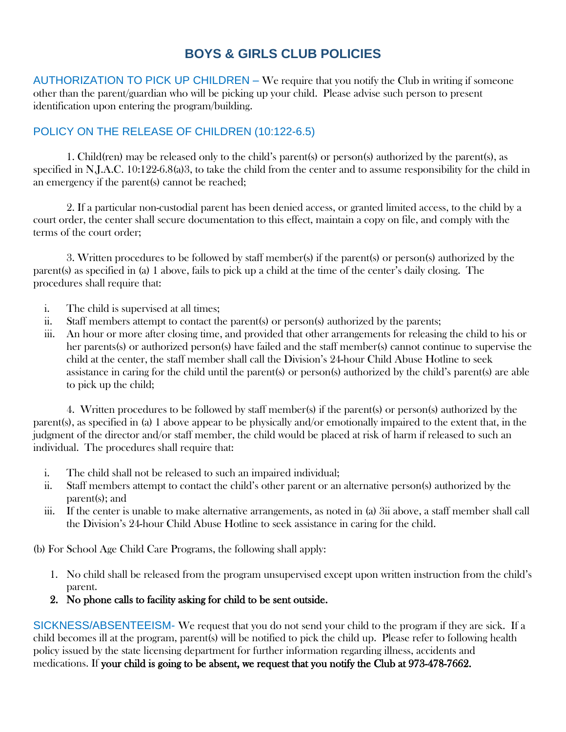# **BOYS & GIRLS CLUB POLICIES**

AUTHORIZATION TO PICK UP CHILDREN – We require that you notify the Club in writing if someone other than the parent/guardian who will be picking up your child. Please advise such person to present identification upon entering the program/building.

# POLICY ON THE RELEASE OF CHILDREN (10:122-6.5)

1. Child(ren) may be released only to the child's parent(s) or person(s) authorized by the parent(s), as specified in N.J.A.C. 10:122-6.8(a)3, to take the child from the center and to assume responsibility for the child in an emergency if the parent(s) cannot be reached;

2. If a particular non-custodial parent has been denied access, or granted limited access, to the child by a court order, the center shall secure documentation to this effect, maintain a copy on file, and comply with the terms of the court order;

3. Written procedures to be followed by staff member(s) if the parent(s) or person(s) authorized by the parent(s) as specified in (a) 1 above, fails to pick up a child at the time of the center's daily closing. The procedures shall require that:

- i. The child is supervised at all times;
- ii. Staff members attempt to contact the parent(s) or person(s) authorized by the parents;
- iii. An hour or more after closing time, and provided that other arrangements for releasing the child to his or her parents(s) or authorized person(s) have failed and the staff member(s) cannot continue to supervise the child at the center, the staff member shall call the Division's 24-hour Child Abuse Hotline to seek assistance in caring for the child until the parent(s) or person(s) authorized by the child's parent(s) are able to pick up the child;

4. Written procedures to be followed by staff member(s) if the parent(s) or person(s) authorized by the parent(s), as specified in (a) 1 above appear to be physically and/or emotionally impaired to the extent that, in the judgment of the director and/or staff member, the child would be placed at risk of harm if released to such an individual. The procedures shall require that:

- i. The child shall not be released to such an impaired individual;
- ii. Staff members attempt to contact the child's other parent or an alternative person(s) authorized by the parent(s); and
- iii. If the center is unable to make alternative arrangements, as noted in (a) 3ii above, a staff member shall call the Division's 24-hour Child Abuse Hotline to seek assistance in caring for the child.

(b) For School Age Child Care Programs, the following shall apply:

- 1. No child shall be released from the program unsupervised except upon written instruction from the child's parent.
- 2. No phone calls to facility asking for child to be sent outside.

SICKNESS/ABSENTEEISM- We request that you do not send your child to the program if they are sick. If a child becomes ill at the program, parent(s) will be notified to pick the child up. Please refer to following health policy issued by the state licensing department for further information regarding illness, accidents and medications. If your child is going to be absent, we request that you notify the Club at 973-478-7662.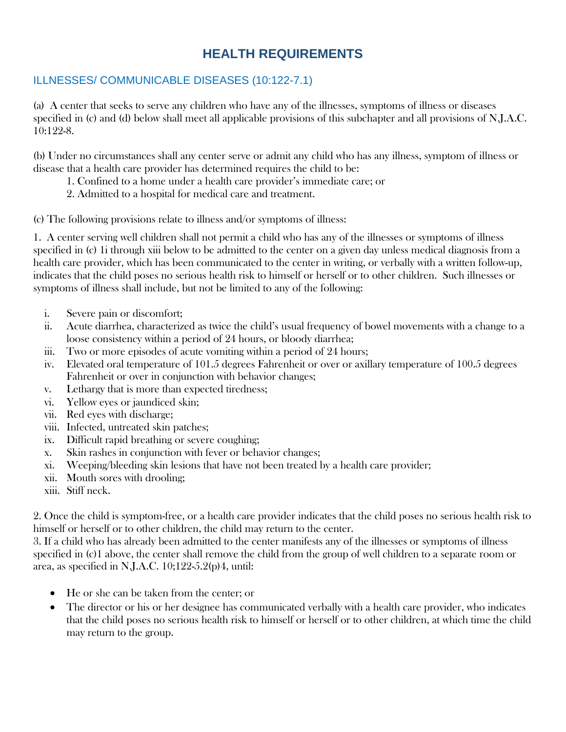# **HEALTH REQUIREMENTS**

# ILLNESSES/ COMMUNICABLE DISEASES (10:122-7.1)

(a) A center that seeks to serve any children who have any of the illnesses, symptoms of illness or diseases specified in (c) and (d) below shall meet all applicable provisions of this subchapter and all provisions of N.J.A.C. 10:122-8.

(b) Under no circumstances shall any center serve or admit any child who has any illness, symptom of illness or disease that a health care provider has determined requires the child to be:

- 1. Confined to a home under a health care provider's immediate care; or
- 2. Admitted to a hospital for medical care and treatment.

(c) The following provisions relate to illness and/or symptoms of illness:

1. A center serving well children shall not permit a child who has any of the illnesses or symptoms of illness specified in (c) 1i through xiii below to be admitted to the center on a given day unless medical diagnosis from a health care provider, which has been communicated to the center in writing, or verbally with a written follow-up, indicates that the child poses no serious health risk to himself or herself or to other children. Such illnesses or symptoms of illness shall include, but not be limited to any of the following:

- i. Severe pain or discomfort;
- ii. Acute diarrhea, characterized as twice the child's usual frequency of bowel movements with a change to a loose consistency within a period of 24 hours, or bloody diarrhea;
- iii. Two or more episodes of acute vomiting within a period of 24 hours;
- iv. Elevated oral temperature of 101.5 degrees Fahrenheit or over or axillary temperature of 100.5 degrees Fahrenheit or over in conjunction with behavior changes;
- v. Lethargy that is more than expected tiredness;
- vi. Yellow eyes or jaundiced skin;
- vii. Red eyes with discharge;
- viii. Infected, untreated skin patches;
- ix. Difficult rapid breathing or severe coughing;
- x. Skin rashes in conjunction with fever or behavior changes;
- xi. Weeping/bleeding skin lesions that have not been treated by a health care provider;
- xii. Mouth sores with drooling;
- xiii. Stiff neck.

2. Once the child is symptom-free, or a health care provider indicates that the child poses no serious health risk to himself or herself or to other children, the child may return to the center.

3. If a child who has already been admitted to the center manifests any of the illnesses or symptoms of illness specified in (c)1 above, the center shall remove the child from the group of well children to a separate room or area, as specified in N.J.A.C. 10;122-5.2(p)4, until:

- He or she can be taken from the center; or
- The director or his or her designee has communicated verbally with a health care provider, who indicates that the child poses no serious health risk to himself or herself or to other children, at which time the child may return to the group.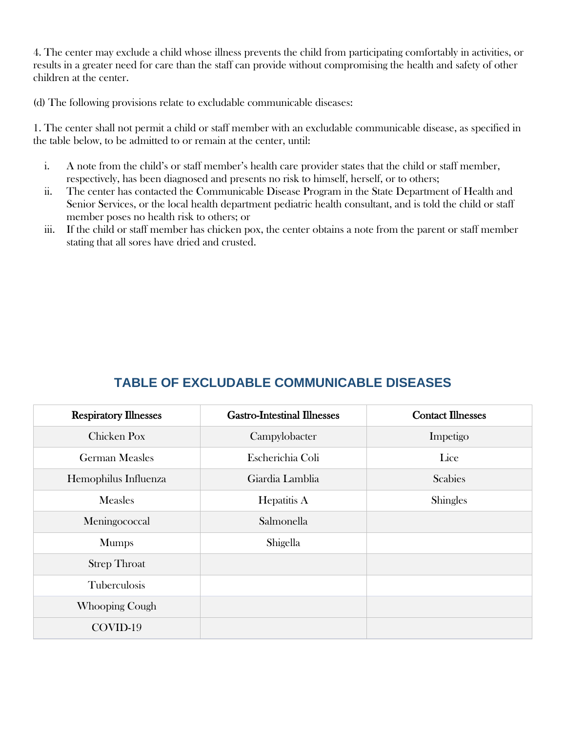4. The center may exclude a child whose illness prevents the child from participating comfortably in activities, or results in a greater need for care than the staff can provide without compromising the health and safety of other children at the center.

(d) The following provisions relate to excludable communicable diseases:

1. The center shall not permit a child or staff member with an excludable communicable disease, as specified in the table below, to be admitted to or remain at the center, until:

- i. A note from the child's or staff member's health care provider states that the child or staff member, respectively, has been diagnosed and presents no risk to himself, herself, or to others;
- ii. The center has contacted the Communicable Disease Program in the State Department of Health and Senior Services, or the local health department pediatric health consultant, and is told the child or staff member poses no health risk to others; or
- iii. If the child or staff member has chicken pox, the center obtains a note from the parent or staff member stating that all sores have dried and crusted.

| <b>Respiratory Illnesses</b> | <b>Gastro-Intestinal Illnesses</b> | <b>Contact Illnesses</b> |
|------------------------------|------------------------------------|--------------------------|
| Chicken Pox                  | Campylobacter                      | Impetigo                 |
| <b>German Measles</b>        | Escherichia Coli                   | Lice                     |
| Hemophilus Influenza         | Giardia Lamblia                    | <b>Scabies</b>           |
| <b>Measles</b>               | Hepatitis A                        | <b>Shingles</b>          |
| Meningococcal                | Salmonella                         |                          |
| <b>Mumps</b>                 | Shigella                           |                          |
| <b>Strep Throat</b>          |                                    |                          |
| <b>Tuberculosis</b>          |                                    |                          |
| <b>Whooping Cough</b>        |                                    |                          |
| COVID-19                     |                                    |                          |

# **TABLE OF EXCLUDABLE COMMUNICABLE DISEASES**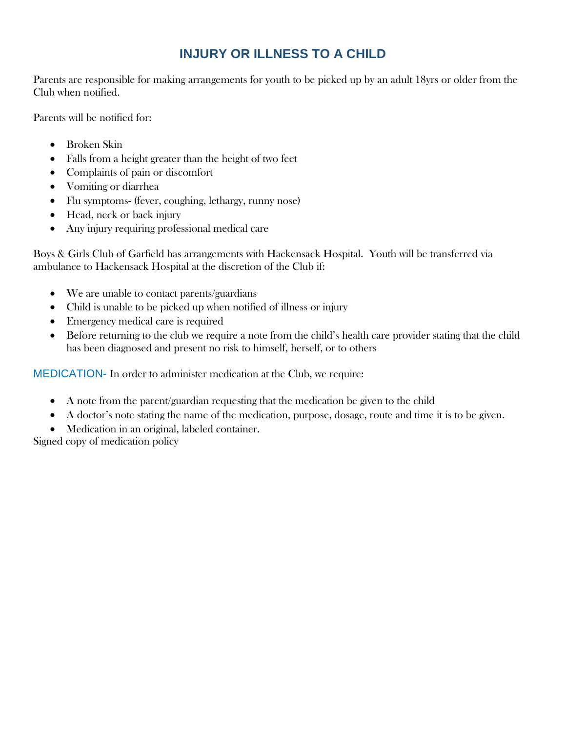# **INJURY OR ILLNESS TO A CHILD**

Parents are responsible for making arrangements for youth to be picked up by an adult 18yrs or older from the Club when notified.

Parents will be notified for:

- Broken Skin
- Falls from a height greater than the height of two feet
- Complaints of pain or discomfort
- Vomiting or diarrhea
- Flu symptoms- (fever, coughing, lethargy, runny nose)
- Head, neck or back injury
- Any injury requiring professional medical care

Boys & Girls Club of Garfield has arrangements with Hackensack Hospital. Youth will be transferred via ambulance to Hackensack Hospital at the discretion of the Club if:

- We are unable to contact parents/guardians
- Child is unable to be picked up when notified of illness or injury
- Emergency medical care is required
- Before returning to the club we require a note from the child's health care provider stating that the child has been diagnosed and present no risk to himself, herself, or to others

MEDICATION- In order to administer medication at the Club, we require:

- A note from the parent/guardian requesting that the medication be given to the child
- A doctor's note stating the name of the medication, purpose, dosage, route and time it is to be given.
- Medication in an original, labeled container.

Signed copy of medication policy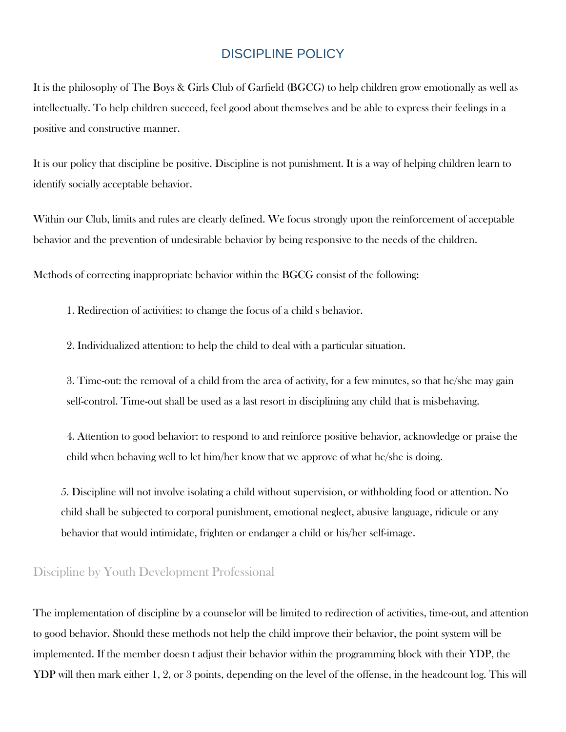# DISCIPLINE POLICY

It is the philosophy of The Boys & Girls Club of Garfield (BGCG) to help children grow emotionally as well as intellectually. To help children succeed, feel good about themselves and be able to express their feelings in a positive and constructive manner.

It is our policy that discipline be positive. Discipline is not punishment. It is a way of helping children learn to identify socially acceptable behavior.

Within our Club, limits and rules are clearly defined. We focus strongly upon the reinforcement of acceptable behavior and the prevention of undesirable behavior by being responsive to the needs of the children.

Methods of correcting inappropriate behavior within the BGCG consist of the following:

1. Redirection of activities: to change the focus of a child s behavior.

2. Individualized attention: to help the child to deal with a particular situation.

3. Time-out: the removal of a child from the area of activity, for a few minutes, so that he/she may gain self-control. Time-out shall be used as a last resort in disciplining any child that is misbehaving.

4. Attention to good behavior: to respond to and reinforce positive behavior, acknowledge or praise the child when behaving well to let him/her know that we approve of what he/she is doing.

5. Discipline will not involve isolating a child without supervision, or withholding food or attention. No child shall be subjected to corporal punishment, emotional neglect, abusive language, ridicule or any behavior that would intimidate, frighten or endanger a child or his/her self-image.

# Discipline by Youth Development Professional

The implementation of discipline by a counselor will be limited to redirection of activities, time-out, and attention to good behavior. Should these methods not help the child improve their behavior, the point system will be implemented. If the member doesn t adjust their behavior within the programming block with their YDP, the YDP will then mark either 1, 2, or 3 points, depending on the level of the offense, in the headcount log. This will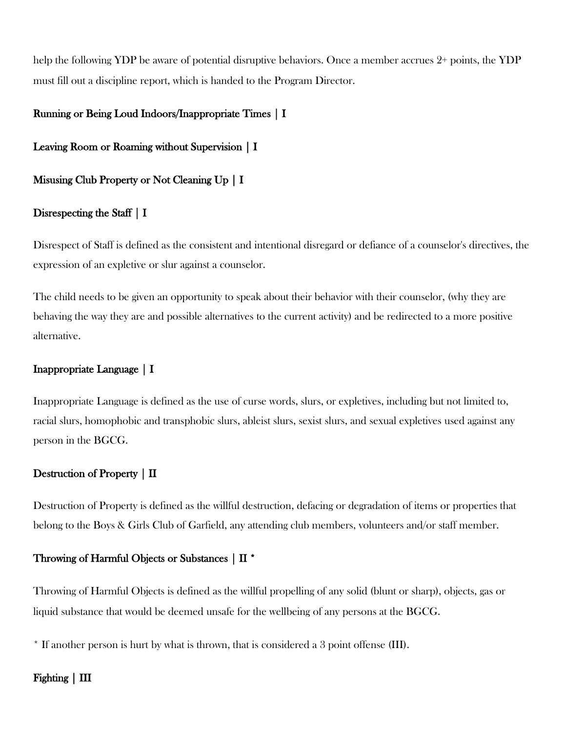help the following YDP be aware of potential disruptive behaviors. Once a member accrues 2+ points, the YDP must fill out a discipline report, which is handed to the Program Director.

#### Running or Being Loud Indoors/Inappropriate Times | I

Leaving Room or Roaming without Supervision | I

Misusing Club Property or Not Cleaning Up | I

#### Disrespecting the Staff | I

Disrespect of Staff is defined as the consistent and intentional disregard or defiance of a counselor's directives, the expression of an expletive or slur against a counselor.

The child needs to be given an opportunity to speak about their behavior with their counselor, (why they are behaving the way they are and possible alternatives to the current activity) and be redirected to a more positive alternative.

#### Inappropriate Language | I

Inappropriate Language is defined as the use of curse words, slurs, or expletives, including but not limited to, racial slurs, homophobic and transphobic slurs, ableist slurs, sexist slurs, and sexual expletives used against any person in the BGCG.

#### Destruction of Property | II

Destruction of Property is defined as the willful destruction, defacing or degradation of items or properties that belong to the Boys & Girls Club of Garfield, any attending club members, volunteers and/or staff member.

#### Throwing of Harmful Objects or Substances | II \*

Throwing of Harmful Objects is defined as the willful propelling of any solid (blunt or sharp), objects, gas or liquid substance that would be deemed unsafe for the wellbeing of any persons at the BGCG.

\* If another person is hurt by what is thrown, that is considered a 3 point offense (III).

#### Fighting | III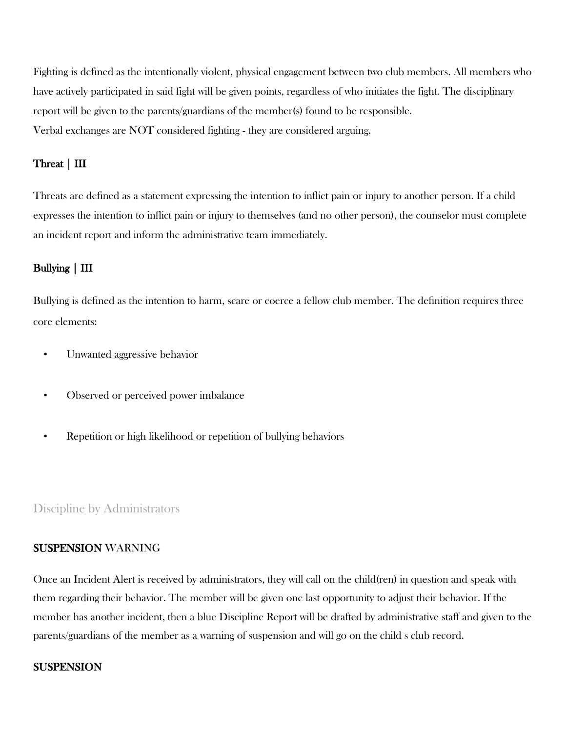Fighting is defined as the intentionally violent, physical engagement between two club members. All members who have actively participated in said fight will be given points, regardless of who initiates the fight. The disciplinary report will be given to the parents/guardians of the member(s) found to be responsible. Verbal exchanges are NOT considered fighting - they are considered arguing.

#### Threat | III

Threats are defined as a statement expressing the intention to inflict pain or injury to another person. If a child expresses the intention to inflict pain or injury to themselves (and no other person), the counselor must complete an incident report and inform the administrative team immediately.

#### Bullying | III

Bullying is defined as the intention to harm, scare or coerce a fellow club member. The definition requires three core elements:

- Unwanted aggressive behavior
- Observed or perceived power imbalance
- Repetition or high likelihood or repetition of bullying behaviors

#### Discipline by Administrators

#### SUSPENSION WARNING

Once an Incident Alert is received by administrators, they will call on the child(ren) in question and speak with them regarding their behavior. The member will be given one last opportunity to adjust their behavior. If the member has another incident, then a blue Discipline Report will be drafted by administrative staff and given to the parents/guardians of the member as a warning of suspension and will go on the child s club record.

#### **SUSPENSION**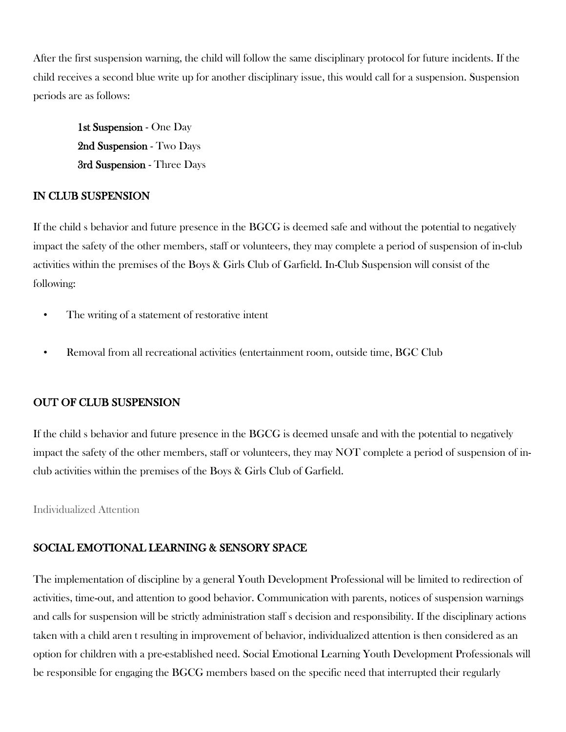After the first suspension warning, the child will follow the same disciplinary protocol for future incidents. If the child receives a second blue write up for another disciplinary issue, this would call for a suspension. Suspension periods are as follows:

1st Suspension - One Day 2nd Suspension - Two Days 3rd Suspension - Three Days

#### IN CLUB SUSPENSION

If the child s behavior and future presence in the BGCG is deemed safe and without the potential to negatively impact the safety of the other members, staff or volunteers, they may complete a period of suspension of in-club activities within the premises of the Boys & Girls Club of Garfield. In-Club Suspension will consist of the following:

- The writing of a statement of restorative intent
- Removal from all recreational activities (entertainment room, outside time, BGC Club

# OUT OF CLUB SUSPENSION

If the child s behavior and future presence in the BGCG is deemed unsafe and with the potential to negatively impact the safety of the other members, staff or volunteers, they may NOT complete a period of suspension of inclub activities within the premises of the Boys & Girls Club of Garfield.

Individualized Attention

# SOCIAL EMOTIONAL LEARNING & SENSORY SPACE

The implementation of discipline by a general Youth Development Professional will be limited to redirection of activities, time-out, and attention to good behavior. Communication with parents, notices of suspension warnings and calls for suspension will be strictly administration staff s decision and responsibility. If the disciplinary actions taken with a child aren t resulting in improvement of behavior, individualized attention is then considered as an option for children with a pre-established need. Social Emotional Learning Youth Development Professionals will be responsible for engaging the BGCG members based on the specific need that interrupted their regularly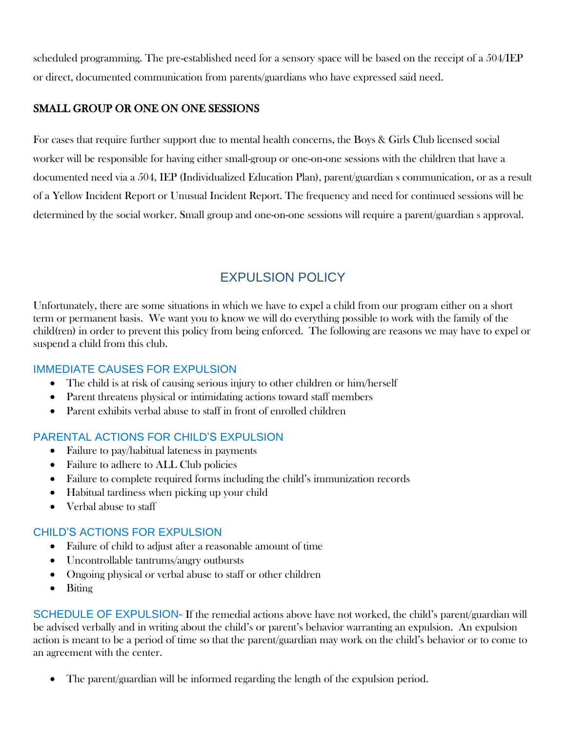scheduled programming. The pre-established need for a sensory space will be based on the receipt of a 504/IEP or direct, documented communication from parents/guardians who have expressed said need.

# SMALL GROUP OR ONE ON ONE SESSIONS

For cases that require further support due to mental health concerns, the Boys & Girls Club licensed social worker will be responsible for having either small-group or one-on-one sessions with the children that have a documented need via a 504, IEP (Individualized Education Plan), parent/guardian s communication, or as a result of a Yellow Incident Report or Unusual Incident Report. The frequency and need for continued sessions will be determined by the social worker. Small group and one-on-one sessions will require a parent/guardian s approval.

# EXPULSION POLICY

Unfortunately, there are some situations in which we have to expel a child from our program either on a short term or permanent basis. We want you to know we will do everything possible to work with the family of the child(ren) in order to prevent this policy from being enforced. The following are reasons we may have to expel or suspend a child from this club.

# IMMEDIATE CAUSES FOR EXPULSION

- The child is at risk of causing serious injury to other children or him/herself
- Parent threatens physical or intimidating actions toward staff members
- Parent exhibits verbal abuse to staff in front of enrolled children

# PARENTAL ACTIONS FOR CHILD'S EXPULSION

- Failure to pay/habitual lateness in payments
- Failure to adhere to ALL Club policies
- Failure to complete required forms including the child's immunization records
- Habitual tardiness when picking up your child
- Verbal abuse to staff

# CHILD'S ACTIONS FOR EXPULSION

- Failure of child to adjust after a reasonable amount of time
- Uncontrollable tantrums/angry outbursts
- Ongoing physical or verbal abuse to staff or other children
- Biting

SCHEDULE OF EXPULSION- If the remedial actions above have not worked, the child's parent/guardian will be advised verbally and in writing about the child's or parent's behavior warranting an expulsion. An expulsion action is meant to be a period of time so that the parent/guardian may work on the child's behavior or to come to an agreement with the center.

• The parent/guardian will be informed regarding the length of the expulsion period.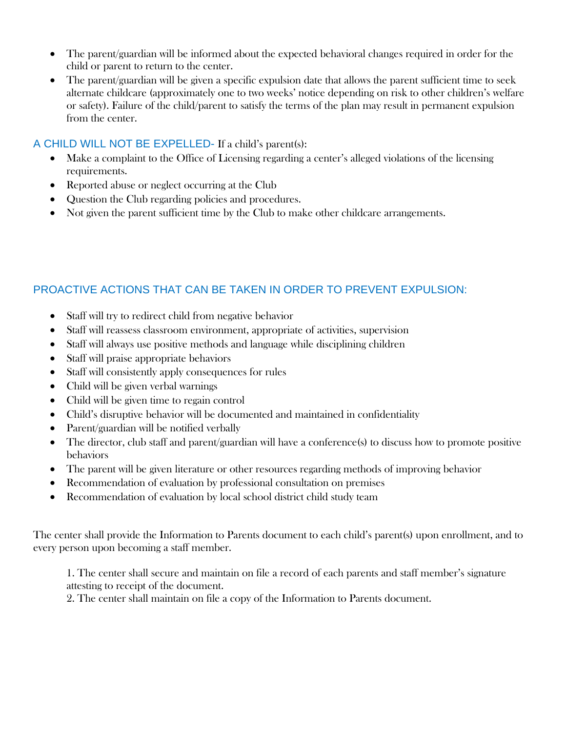- The parent/guardian will be informed about the expected behavioral changes required in order for the child or parent to return to the center.
- The parent/guardian will be given a specific expulsion date that allows the parent sufficient time to seek alternate childcare (approximately one to two weeks' notice depending on risk to other children's welfare or safety). Failure of the child/parent to satisfy the terms of the plan may result in permanent expulsion from the center.

#### A CHILD WILL NOT BE EXPELLED- If a child's parent(s):

- Make a complaint to the Office of Licensing regarding a center's alleged violations of the licensing requirements.
- Reported abuse or neglect occurring at the Club
- Question the Club regarding policies and procedures.
- Not given the parent sufficient time by the Club to make other childcare arrangements.

# PROACTIVE ACTIONS THAT CAN BE TAKEN IN ORDER TO PREVENT EXPULSION:

- Staff will try to redirect child from negative behavior
- Staff will reassess classroom environment, appropriate of activities, supervision
- Staff will always use positive methods and language while disciplining children
- Staff will praise appropriate behaviors
- Staff will consistently apply consequences for rules
- Child will be given verbal warnings
- Child will be given time to regain control
- Child's disruptive behavior will be documented and maintained in confidentiality
- Parent/guardian will be notified verbally
- The director, club staff and parent/guardian will have a conference(s) to discuss how to promote positive behaviors
- The parent will be given literature or other resources regarding methods of improving behavior
- Recommendation of evaluation by professional consultation on premises
- Recommendation of evaluation by local school district child study team

The center shall provide the Information to Parents document to each child's parent(s) upon enrollment, and to every person upon becoming a staff member.

1. The center shall secure and maintain on file a record of each parents and staff member's signature attesting to receipt of the document.

2. The center shall maintain on file a copy of the Information to Parents document.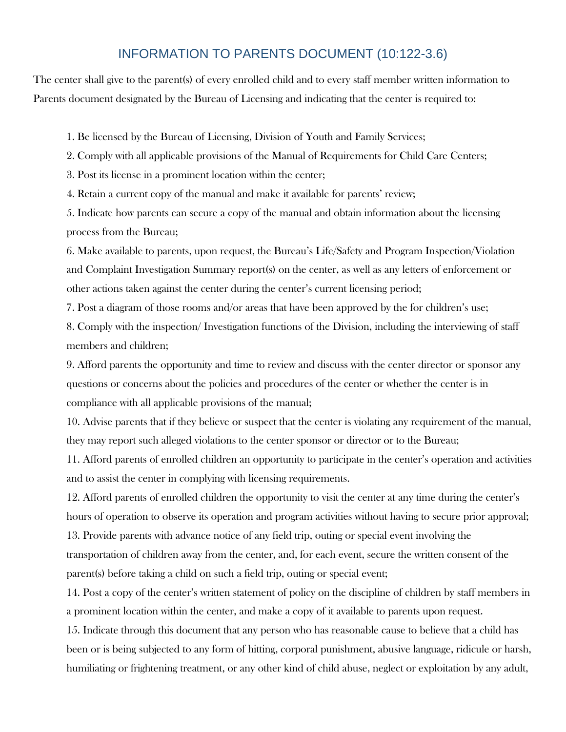# INFORMATION TO PARENTS DOCUMENT (10:122-3.6)

The center shall give to the parent(s) of every enrolled child and to every staff member written information to Parents document designated by the Bureau of Licensing and indicating that the center is required to:

1. Be licensed by the Bureau of Licensing, Division of Youth and Family Services;

2. Comply with all applicable provisions of the Manual of Requirements for Child Care Centers;

3. Post its license in a prominent location within the center;

4. Retain a current copy of the manual and make it available for parents' review;

5. Indicate how parents can secure a copy of the manual and obtain information about the licensing process from the Bureau;

6. Make available to parents, upon request, the Bureau's Life/Safety and Program Inspection/Violation and Complaint Investigation Summary report(s) on the center, as well as any letters of enforcement or other actions taken against the center during the center's current licensing period;

7. Post a diagram of those rooms and/or areas that have been approved by the for children's use;

8. Comply with the inspection/ Investigation functions of the Division, including the interviewing of staff members and children;

9. Afford parents the opportunity and time to review and discuss with the center director or sponsor any questions or concerns about the policies and procedures of the center or whether the center is in compliance with all applicable provisions of the manual;

10. Advise parents that if they believe or suspect that the center is violating any requirement of the manual, they may report such alleged violations to the center sponsor or director or to the Bureau;

11. Afford parents of enrolled children an opportunity to participate in the center's operation and activities and to assist the center in complying with licensing requirements.

12. Afford parents of enrolled children the opportunity to visit the center at any time during the center's hours of operation to observe its operation and program activities without having to secure prior approval; 13. Provide parents with advance notice of any field trip, outing or special event involving the transportation of children away from the center, and, for each event, secure the written consent of the parent(s) before taking a child on such a field trip, outing or special event;

14. Post a copy of the center's written statement of policy on the discipline of children by staff members in a prominent location within the center, and make a copy of it available to parents upon request.

15. Indicate through this document that any person who has reasonable cause to believe that a child has been or is being subjected to any form of hitting, corporal punishment, abusive language, ridicule or harsh, humiliating or frightening treatment, or any other kind of child abuse, neglect or exploitation by any adult,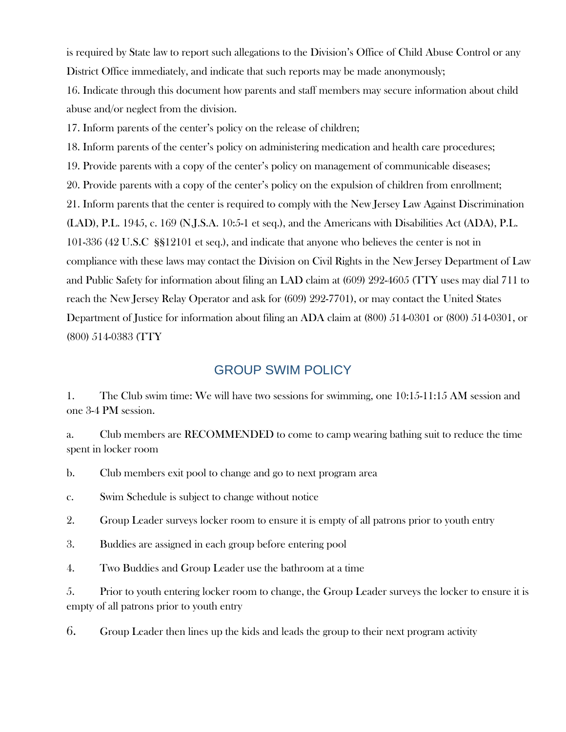is required by State law to report such allegations to the Division's Office of Child Abuse Control or any District Office immediately, and indicate that such reports may be made anonymously;

16. Indicate through this document how parents and staff members may secure information about child abuse and/or neglect from the division.

17. Inform parents of the center's policy on the release of children;

18. Inform parents of the center's policy on administering medication and health care procedures; 19. Provide parents with a copy of the center's policy on management of communicable diseases; 20. Provide parents with a copy of the center's policy on the expulsion of children from enrollment; 21. Inform parents that the center is required to comply with the New Jersey Law Against Discrimination (LAD), P.L. 1945, c. 169 (N.J.S.A. 10:5-1 et seq.), and the Americans with Disabilities Act (ADA), P.L. 101-336 (42 U.S.C §§12101 et seq.), and indicate that anyone who believes the center is not in compliance with these laws may contact the Division on Civil Rights in the New Jersey Department of Law and Public Safety for information about filing an LAD claim at (609) 292-4605 (TTY uses may dial 711 to reach the New Jersey Relay Operator and ask for (609) 292-7701), or may contact the United States Department of Justice for information about filing an ADA claim at (800) 514-0301 or (800) 514-0301, or (800) 514-0383 (TTY

# GROUP SWIM POLICY

1. The Club swim time: We will have two sessions for swimming, one 10:15-11:15 AM session and one 3-4 PM session.

a. Club members are RECOMMENDED to come to camp wearing bathing suit to reduce the time spent in locker room

b. Club members exit pool to change and go to next program area

c. Swim Schedule is subject to change without notice

2. Group Leader surveys locker room to ensure it is empty of all patrons prior to youth entry

3. Buddies are assigned in each group before entering pool

4. Two Buddies and Group Leader use the bathroom at a time

5. Prior to youth entering locker room to change, the Group Leader surveys the locker to ensure it is empty of all patrons prior to youth entry

6. Group Leader then lines up the kids and leads the group to their next program activity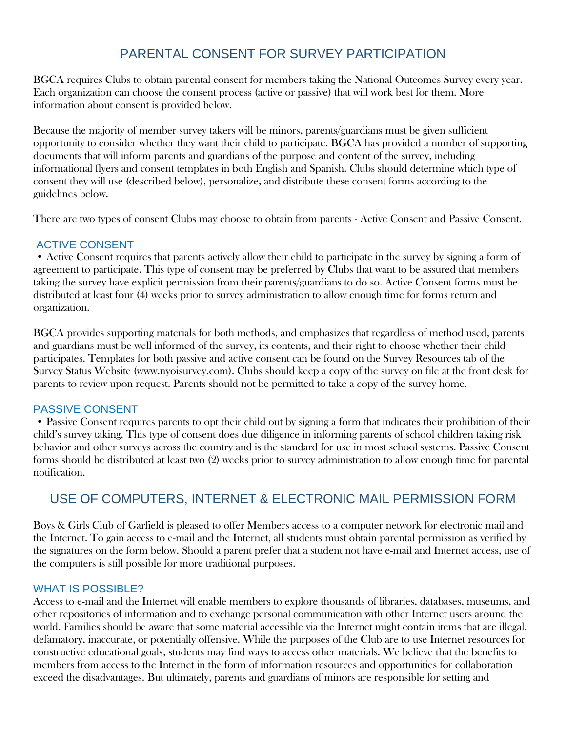# PARENTAL CONSENT FOR SURVEY PARTICIPATION

BGCA requires Clubs to obtain parental consent for members taking the National Outcomes Survey every year. Each organization can choose the consent process (active or passive) that will work best for them. More information about consent is provided below.

Because the majority of member survey takers will be minors, parents/guardians must be given sufficient opportunity to consider whether they want their child to participate. BGCA has provided a number of supporting documents that will inform parents and guardians of the purpose and content of the survey, including informational flyers and consent templates in both English and Spanish. Clubs should determine which type of consent they will use (described below), personalize, and distribute these consent forms according to the guidelines below.

There are two types of consent Clubs may choose to obtain from parents - Active Consent and Passive Consent.

#### ACTIVE CONSENT

• Active Consent requires that parents actively allow their child to participate in the survey by signing a form of agreement to participate. This type of consent may be preferred by Clubs that want to be assured that members taking the survey have explicit permission from their parents/guardians to do so. Active Consent forms must be distributed at least four (4) weeks prior to survey administration to allow enough time for forms return and organization.

BGCA provides supporting materials for both methods, and emphasizes that regardless of method used, parents and guardians must be well informed of the survey, its contents, and their right to choose whether their child participates. Templates for both passive and active consent can be found on the Survey Resources tab of the Survey Status Website (www.nyoisurvey.com). Clubs should keep a copy of the survey on file at the front desk for parents to review upon request. Parents should not be permitted to take a copy of the survey home.

#### PASSIVE CONSENT

• Passive Consent requires parents to opt their child out by signing a form that indicates their prohibition of their child's survey taking. This type of consent does due diligence in informing parents of school children taking risk behavior and other surveys across the country and is the standard for use in most school systems. Passive Consent forms should be distributed at least two (2) weeks prior to survey administration to allow enough time for parental notification.

# USE OF COMPUTERS, INTERNET & ELECTRONIC MAIL PERMISSION FORM

Boys & Girls Club of Garfield is pleased to offer Members access to a computer network for electronic mail and the Internet. To gain access to e-mail and the Internet, all students must obtain parental permission as verified by the signatures on the form below. Should a parent prefer that a student not have e-mail and Internet access, use of the computers is still possible for more traditional purposes.

#### WHAT IS POSSIBLE?

Access to e-mail and the Internet will enable members to explore thousands of libraries, databases, museums, and other repositories of information and to exchange personal communication with other Internet users around the world. Families should be aware that some material accessible via the Internet might contain items that are illegal, defamatory, inaccurate, or potentially offensive. While the purposes of the Club are to use Internet resources for constructive educational goals, students may find ways to access other materials. We believe that the benefits to members from access to the Internet in the form of information resources and opportunities for collaboration exceed the disadvantages. But ultimately, parents and guardians of minors are responsible for setting and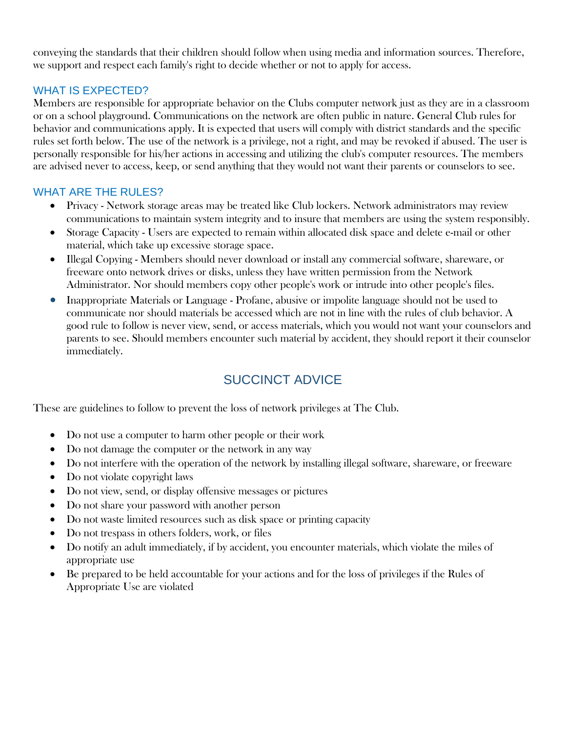conveying the standards that their children should follow when using media and information sources. Therefore, we support and respect each family's right to decide whether or not to apply for access.

# WHAT IS EXPECTED?

Members are responsible for appropriate behavior on the Clubs computer network just as they are in a classroom or on a school playground. Communications on the network are often public in nature. General Club rules for behavior and communications apply. It is expected that users will comply with district standards and the specific rules set forth below. The use of the network is a privilege, not a right, and may be revoked if abused. The user is personally responsible for his/her actions in accessing and utilizing the club's computer resources. The members are advised never to access, keep, or send anything that they would not want their parents or counselors to see.

#### WHAT ARE THE RULES?

- Privacy Network storage areas may be treated like Club lockers. Network administrators may review communications to maintain system integrity and to insure that members are using the system responsibly.
- Storage Capacity Users are expected to remain within allocated disk space and delete e-mail or other material, which take up excessive storage space.
- Illegal Copying Members should never download or install any commercial software, shareware, or freeware onto network drives or disks, unless they have written permission from the Network Administrator. Nor should members copy other people's work or intrude into other people's files.
- Inappropriate Materials or Language Profane, abusive or impolite language should not be used to communicate nor should materials be accessed which are not in line with the rules of club behavior. A good rule to follow is never view, send, or access materials, which you would not want your counselors and parents to see. Should members encounter such material by accident, they should report it their counselor immediately.

# SUCCINCT ADVICE

These are guidelines to follow to prevent the loss of network privileges at The Club.

- Do not use a computer to harm other people or their work
- Do not damage the computer or the network in any way
- Do not interfere with the operation of the network by installing illegal software, shareware, or freeware
- Do not violate copyright laws
- Do not view, send, or display offensive messages or pictures
- Do not share your password with another person
- Do not waste limited resources such as disk space or printing capacity
- Do not trespass in others folders, work, or files
- Do notify an adult immediately, if by accident, you encounter materials, which violate the miles of appropriate use
- Be prepared to be held accountable for your actions and for the loss of privileges if the Rules of Appropriate Use are violated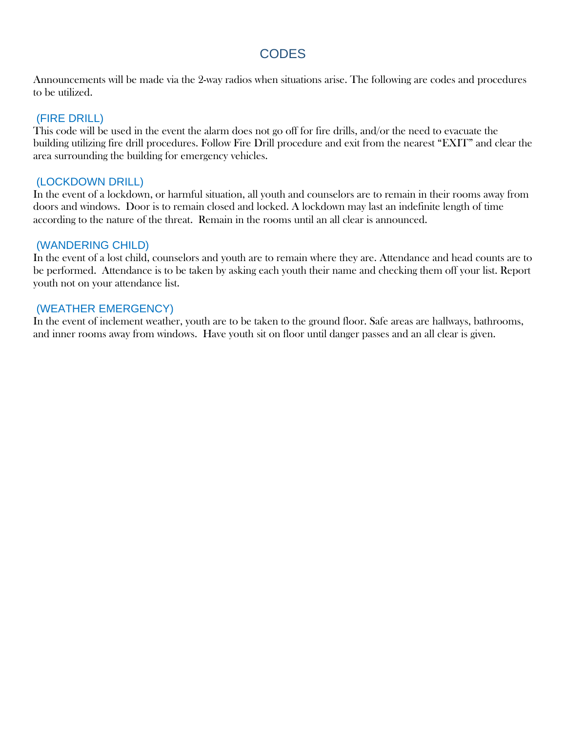# **CODES**

Announcements will be made via the 2-way radios when situations arise. The following are codes and procedures to be utilized.

#### (FIRE DRILL)

This code will be used in the event the alarm does not go off for fire drills, and/or the need to evacuate the building utilizing fire drill procedures. Follow Fire Drill procedure and exit from the nearest "EXIT" and clear the area surrounding the building for emergency vehicles.

#### (LOCKDOWN DRILL)

In the event of a lockdown, or harmful situation, all youth and counselors are to remain in their rooms away from doors and windows. Door is to remain closed and locked. A lockdown may last an indefinite length of time according to the nature of the threat. Remain in the rooms until an all clear is announced.

#### (WANDERING CHILD)

In the event of a lost child, counselors and youth are to remain where they are. Attendance and head counts are to be performed. Attendance is to be taken by asking each youth their name and checking them off your list. Report youth not on your attendance list.

#### (WEATHER EMERGENCY)

In the event of inclement weather, youth are to be taken to the ground floor. Safe areas are hallways, bathrooms, and inner rooms away from windows. Have youth sit on floor until danger passes and an all clear is given.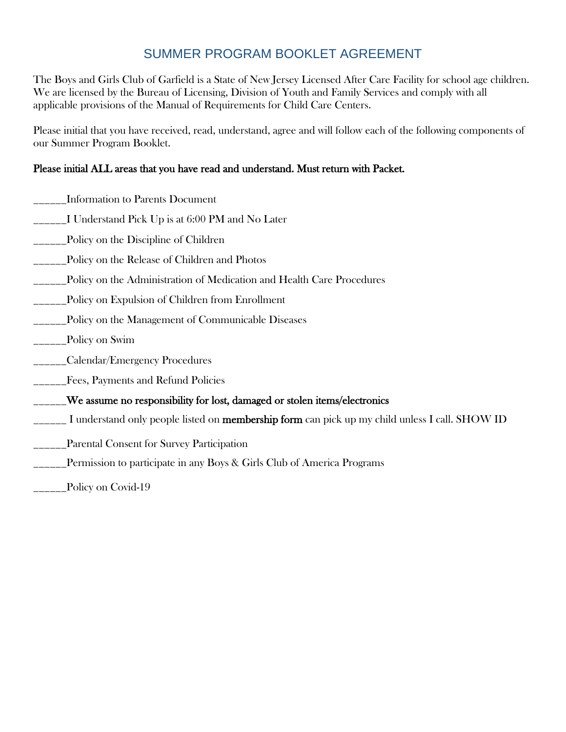# SUMMER PROGRAM BOOKLET AGREEMENT

The Boys and Girls Club of Garfield is a State of New Jersey Licensed After Care Facility for school age children. We are licensed by the Bureau of Licensing, Division of Youth and Family Services and comply with all applicable provisions of the Manual of Requirements for Child Care Centers.

Please initial that you have received, read, understand, agree and will follow each of the following components of our Summer Program Booklet.

# Please initial ALL areas that you have read and understand. Must return with Packet.

- \_\_\_\_\_\_Information to Parents Document
- \_\_\_\_\_\_I Understand Pick Up is at 6:00 PM and No Later
- \_\_\_\_\_\_Policy on the Discipline of Children
- \_\_\_\_\_\_Policy on the Release of Children and Photos
- \_\_\_\_\_\_Policy on the Administration of Medication and Health Care Procedures
- \_\_\_\_\_\_Policy on Expulsion of Children from Enrollment
- \_\_\_\_\_\_Policy on the Management of Communicable Diseases
- \_\_\_\_\_\_Policy on Swim
- \_\_\_\_\_\_Calendar/Emergency Procedures
- \_\_\_\_\_\_Fees, Payments and Refund Policies
- \_\_\_\_\_\_We assume no responsibility for lost, damaged or stolen items/electronics
- <u>\_\_</u>\_\_\_ I understand only people listed on **membership form** can pick up my child unless I call. SHOW ID
- Parental Consent for Survey Participation
- \_\_\_\_\_\_Permission to participate in any Boys & Girls Club of America Programs
- \_\_\_\_Policy on Covid-19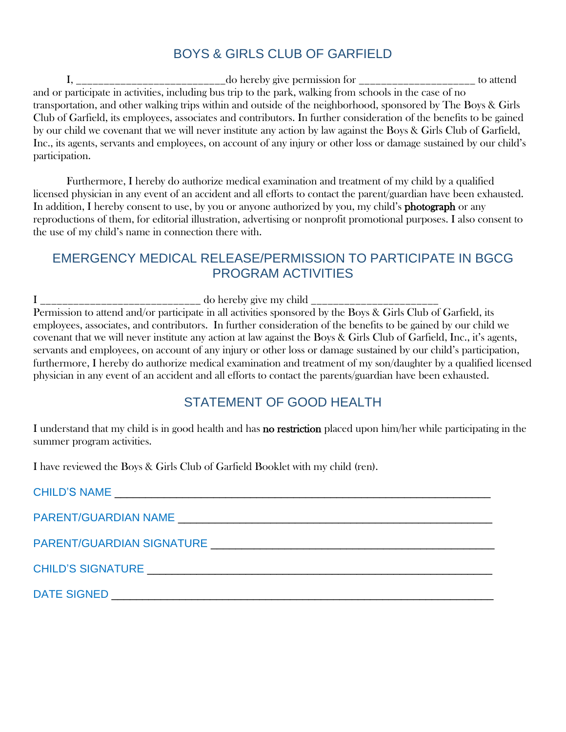# BOYS & GIRLS CLUB OF GARFIELD

I, \_\_\_\_\_\_\_\_\_\_\_\_\_\_\_\_\_\_\_\_\_\_\_\_\_\_\_do hereby give permission for \_\_\_\_\_\_\_\_\_\_\_\_\_\_\_\_\_\_\_\_\_ to attend and or participate in activities, including bus trip to the park, walking from schools in the case of no transportation, and other walking trips within and outside of the neighborhood, sponsored by The Boys & Girls Club of Garfield, its employees, associates and contributors. In further consideration of the benefits to be gained by our child we covenant that we will never institute any action by law against the Boys & Girls Club of Garfield, Inc., its agents, servants and employees, on account of any injury or other loss or damage sustained by our child's participation.

Furthermore, I hereby do authorize medical examination and treatment of my child by a qualified licensed physician in any event of an accident and all efforts to contact the parent/guardian have been exhausted. In addition, I hereby consent to use, by you or anyone authorized by you, my child's **photograph** or any reproductions of them, for editorial illustration, advertising or nonprofit promotional purposes. I also consent to the use of my child's name in connection there with.

# EMERGENCY MEDICAL RELEASE/PERMISSION TO PARTICIPATE IN BGCG PROGRAM ACTIVITIES

I \_\_\_\_\_\_\_\_\_\_\_\_\_\_\_\_\_\_\_\_\_\_\_\_\_\_\_\_\_ do hereby give my child \_\_\_\_\_\_\_\_\_\_\_\_\_\_\_\_\_\_\_\_\_\_\_ Permission to attend and/or participate in all activities sponsored by the Boys & Girls Club of Garfield, its employees, associates, and contributors. In further consideration of the benefits to be gained by our child we covenant that we will never institute any action at law against the Boys & Girls Club of Garfield, Inc., it's agents, servants and employees, on account of any injury or other loss or damage sustained by our child's participation, furthermore, I hereby do authorize medical examination and treatment of my son/daughter by a qualified licensed physician in any event of an accident and all efforts to contact the parents/guardian have been exhausted.

# STATEMENT OF GOOD HEALTH

I understand that my child is in good health and has no restriction placed upon him/her while participating in the summer program activities.

I have reviewed the Boys & Girls Club of Garfield Booklet with my child (ren).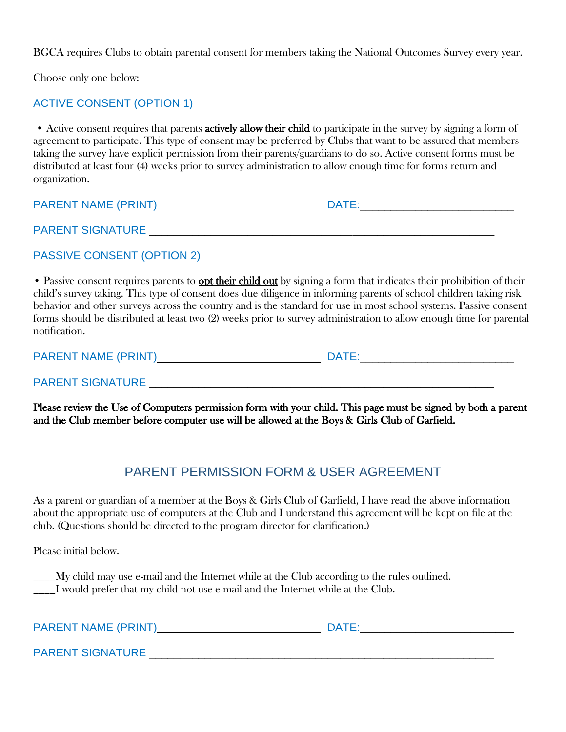BGCA requires Clubs to obtain parental consent for members taking the National Outcomes Survey every year.

Choose only one below:

#### ACTIVE CONSENT (OPTION 1)

• Active consent requires that parents **actively allow their child** to participate in the survey by signing a form of agreement to participate. This type of consent may be preferred by Clubs that want to be assured that members taking the survey have explicit permission from their parents/guardians to do so. Active consent forms must be distributed at least four (4) weeks prior to survey administration to allow enough time for forms return and organization.

| <b>PARENT NAME (PRINT)</b> | <b>DATE</b> |
|----------------------------|-------------|
|                            |             |
| <b>PARENT SIGNATURE</b>    |             |

PASSIVE CONSENT (OPTION 2)

• Passive consent requires parents to **opt their child out** by signing a form that indicates their prohibition of their child's survey taking. This type of consent does due diligence in informing parents of school children taking risk behavior and other surveys across the country and is the standard for use in most school systems. Passive consent forms should be distributed at least two (2) weeks prior to survey administration to allow enough time for parental notification.

PARENT NAME (PRINT) DATE:\_\_\_\_\_\_\_\_\_\_\_\_\_\_\_\_\_\_\_\_\_\_\_\_\_

PARENT SIGNATURE \_\_\_\_\_\_\_\_\_\_\_\_\_\_\_\_\_\_\_\_\_\_\_\_\_\_\_\_\_\_\_\_\_\_\_\_\_\_\_\_\_\_\_\_\_\_\_\_\_\_\_\_\_\_\_\_

Please review the Use of Computers permission form with your child. This page must be signed by both a parent and the Club member before computer use will be allowed at the Boys & Girls Club of Garfield.

# PARENT PERMISSION FORM & USER AGREEMENT

As a parent or guardian of a member at the Boys & Girls Club of Garfield, I have read the above information about the appropriate use of computers at the Club and I understand this agreement will be kept on file at the club. (Questions should be directed to the program director for clarification.)

Please initial below.

\_\_\_\_My child may use e-mail and the Internet while at the Club according to the rules outlined. \_\_\_\_I would prefer that my child not use e-mail and the Internet while at the Club.

| <b>PARENT NAME (PRINT)</b> | <b>DATE:</b> |
|----------------------------|--------------|
| <b>PARENT SIGNATURE</b>    |              |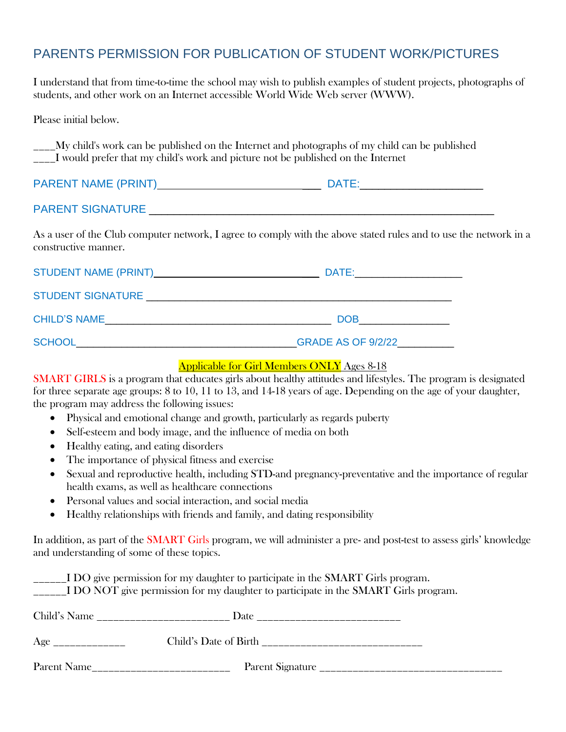# PARENTS PERMISSION FOR PUBLICATION OF STUDENT WORK/PICTURES

I understand that from time-to-time the school may wish to publish examples of student projects, photographs of students, and other work on an Internet accessible World Wide Web server (WWW).

Please initial below.

\_\_\_\_My child's work can be published on the Internet and photographs of my child can be published \_\_\_\_I would prefer that my child's work and picture not be published on the Internet

| <b>PARENT NAME (PRINT)</b> | <b>DATE</b> |
|----------------------------|-------------|
|                            |             |
| <b>PARENT SIGNATURE</b>    |             |

As a user of the Club computer network, I agree to comply with the above stated rules and to use the network in a constructive manner.

| STUDENT NAME (PRINT) MELLET AND THE STUDENT NAME | DATE:                     |
|--------------------------------------------------|---------------------------|
| <b>STUDENT SIGNATURE</b>                         |                           |
| <b>CHILD'S NAME</b>                              | <b>DOB</b>                |
| <b>SCHOOL</b>                                    | <b>GRADE AS OF 9/2/22</b> |

#### Applicable for Girl Members ONLY Ages 8-18

SMART GIRLS is a program that educates girls about healthy attitudes and lifestyles. The program is designated for three separate age groups: 8 to 10, 11 to 13, and 14-18 years of age. Depending on the age of your daughter, the program may address the following issues:

- Physical and emotional change and growth, particularly as regards puberty
- Self-esteem and body image, and the influence of media on both
- Healthy eating, and eating disorders
- The importance of physical fitness and exercise
- Sexual and reproductive health, including STD-and pregnancy-preventative and the importance of regular health exams, as well as healthcare connections
- Personal values and social interaction, and social media
- Healthy relationships with friends and family, and dating responsibility

In addition, as part of the SMART Girls program, we will administer a pre- and post-test to assess girls' knowledge and understanding of some of these topics.

| $\frac{1}{2}$ IDO give permission for my daughter to participate in the SMART Girls program. |      | $\frac{1}{2}$ I DO NOT give permission for my daughter to participate in the SMART Girls program. |
|----------------------------------------------------------------------------------------------|------|---------------------------------------------------------------------------------------------------|
|                                                                                              | Date |                                                                                                   |
|                                                                                              |      |                                                                                                   |
| Parent Name                                                                                  |      | Parent Signature                                                                                  |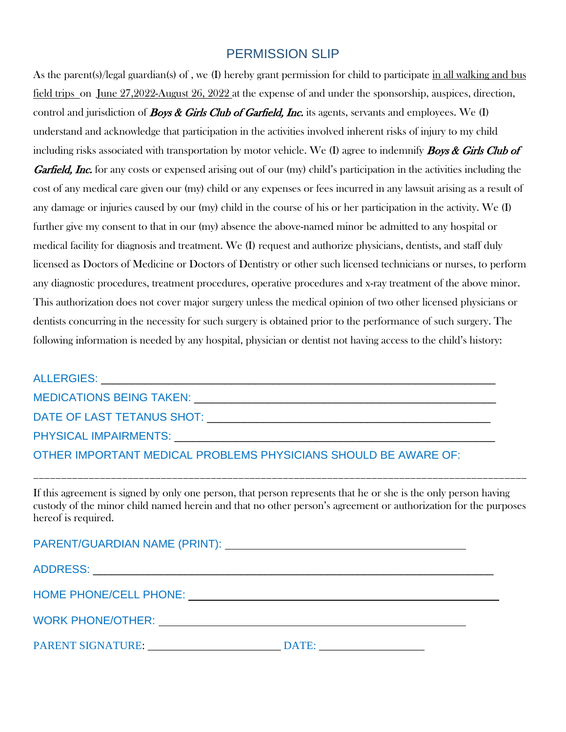# PERMISSION SLIP

As the parent(s)/legal guardian(s) of , we (I) hereby grant permission for child to participate in all walking and bus field trips on June 27,2022-August 26, 2022 at the expense of and under the sponsorship, auspices, direction, control and jurisdiction of **Boys & Girls Club of Garfield, Inc.** its agents, servants and employees. We  $(I)$ understand and acknowledge that participation in the activities involved inherent risks of injury to my child including risks associated with transportation by motor vehicle. We (I) agree to indemnify **Boys & Girls Club of Garfield, Inc.** for any costs or expensed arising out of our (my) child's participation in the activities including the cost of any medical care given our (my) child or any expenses or fees incurred in any lawsuit arising as a result of any damage or injuries caused by our (my) child in the course of his or her participation in the activity. We (I) further give my consent to that in our (my) absence the above-named minor be admitted to any hospital or medical facility for diagnosis and treatment. We (I) request and authorize physicians, dentists, and staff duly licensed as Doctors of Medicine or Doctors of Dentistry or other such licensed technicians or nurses, to perform any diagnostic procedures, treatment procedures, operative procedures and x-ray treatment of the above minor. This authorization does not cover major surgery unless the medical opinion of two other licensed physicians or dentists concurring in the necessity for such surgery is obtained prior to the performance of such surgery. The following information is needed by any hospital, physician or dentist not having access to the child's history:

| MEDICATIONS BEING TAKEN: WE ARRIVE TO A THE STATE OF THE STATE OF THE STATE OF THE STATE OF THE STATE OF THE S          |  |
|-------------------------------------------------------------------------------------------------------------------------|--|
| DATE OF LAST TETANUS SHOT: NAME OF LAST TETANUS SHOT:                                                                   |  |
| <b>PHYSICAL IMPAIRMENTS:</b> THE THEFT OF THE THEFT OF THE THEFT OF THE THEFT OF THE THE THE THE THE THE THE THE THE TH |  |
| OTHER IMPORTANT MEDICAL PROBLEMS PHYSICIANS SHOULD BE AWARE OF:                                                         |  |

If this agreement is signed by only one person, that person represents that he or she is the only person having custody of the minor child named herein and that no other person's agreement or authorization for the purposes hereof is required.

\_\_\_\_\_\_\_\_\_\_\_\_\_\_\_\_\_\_\_\_\_\_\_\_\_\_\_\_\_\_\_\_\_\_\_\_\_\_\_\_\_\_\_\_\_\_\_\_\_\_\_\_\_\_\_\_\_\_\_\_\_\_\_\_\_\_\_\_\_\_\_\_\_\_\_\_\_\_\_\_\_\_\_\_\_\_\_\_\_

| PARENT/GUARDIAN NAME (PRINT): |  |  |
|-------------------------------|--|--|
|-------------------------------|--|--|

ADDRESS: \_\_\_\_\_\_\_\_\_\_\_\_\_\_\_\_\_\_\_\_\_\_\_\_\_\_\_\_\_\_\_\_\_\_\_\_\_\_\_\_\_\_\_\_\_\_\_\_\_\_\_\_\_\_\_\_\_\_\_\_\_\_\_\_\_

HOME PHONE/CELL PHONE:

WORK PHONE/OTHER:

PARENT SIGNATURE:  $\Box$  DATE: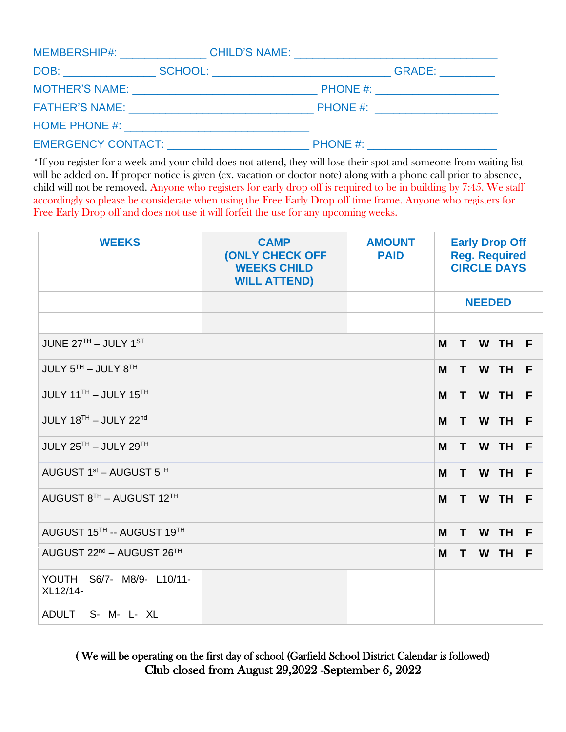|                                                                                                                                                                                                                                |  | MEMBERSHIP#: __________________CHILD'S NAME: ___________________________________ |
|--------------------------------------------------------------------------------------------------------------------------------------------------------------------------------------------------------------------------------|--|----------------------------------------------------------------------------------|
|                                                                                                                                                                                                                                |  | GRADE: __________                                                                |
|                                                                                                                                                                                                                                |  | PHONE #: _______________________                                                 |
|                                                                                                                                                                                                                                |  | PHONE #: ______________________                                                  |
|                                                                                                                                                                                                                                |  |                                                                                  |
| EMERGENCY CONTACT: NAME AND THE RESERVE ON THE RESERVE ON THE RESERVE OF THE RESERVE OF THE RESERVE OF THE RESERVE OF THE RESERVE OF THE RESERVE OF THE RESERVE OF THE RESERVE OF THE RESERVE OF THE RESERVE OF THE RESERVE OF |  |                                                                                  |

\*If you register for a week and your child does not attend, they will lose their spot and someone from waiting list will be added on. If proper notice is given (ex. vacation or doctor note) along with a phone call prior to absence, child will not be removed. Anyone who registers for early drop off is required to be in building by 7:45. We staff accordingly so please be considerate when using the Free Early Drop off time frame. Anyone who registers for Free Early Drop off and does not use it will forfeit the use for any upcoming weeks.

| <b>WEEKS</b>                                      | <b>CAMP</b><br><b>(ONLY CHECK OFF</b><br><b>WEEKS CHILD</b><br><b>WILL ATTEND)</b> | <b>AMOUNT</b><br><b>PAID</b> | <b>Early Drop Off</b><br><b>Reg. Required</b><br><b>CIRCLE DAYS</b> |    |               |           |   |
|---------------------------------------------------|------------------------------------------------------------------------------------|------------------------------|---------------------------------------------------------------------|----|---------------|-----------|---|
|                                                   |                                                                                    |                              |                                                                     |    | <b>NEEDED</b> |           |   |
|                                                   |                                                                                    |                              |                                                                     |    |               |           |   |
| JUNE $27TH - JULY 1ST$                            |                                                                                    |                              | M                                                                   | т  |               | W TH      | F |
| JULY 5TH - JULY 8TH                               |                                                                                    |                              | M                                                                   | T. | W             | <b>TH</b> | F |
| JULY 11TH - JULY 15TH                             |                                                                                    |                              | M                                                                   | T. |               | W TH      | F |
| JULY 18TH - JULY 22nd                             |                                                                                    |                              | M                                                                   | T. |               | W TH      | F |
| JULY 25TH - JULY 29TH                             |                                                                                    |                              | M                                                                   | T. |               | W TH      | F |
| AUGUST 1 <sup>st</sup> - AUGUST 5TH               |                                                                                    |                              | M                                                                   | T  | W             | <b>TH</b> | F |
| AUGUST 8TH - AUGUST 12TH                          |                                                                                    |                              | M                                                                   | T. |               | W TH      | F |
| AUGUST 15TH -- AUGUST 19TH                        |                                                                                    |                              | M                                                                   | T  | W             | <b>TH</b> | F |
| AUGUST 22 <sup>nd</sup> - AUGUST 26 <sup>TH</sup> |                                                                                    |                              | M                                                                   | Τ  | W             | <b>TH</b> | F |
| YOUTH<br>S6/7- M8/9- L10/11-<br>XL12/14-          |                                                                                    |                              |                                                                     |    |               |           |   |
| ADULT<br>S- M- L- XL                              |                                                                                    |                              |                                                                     |    |               |           |   |

# ( We will be operating on the first day of school (Garfield School District Calendar is followed) Club closed from August 29,2022 -September 6, 2022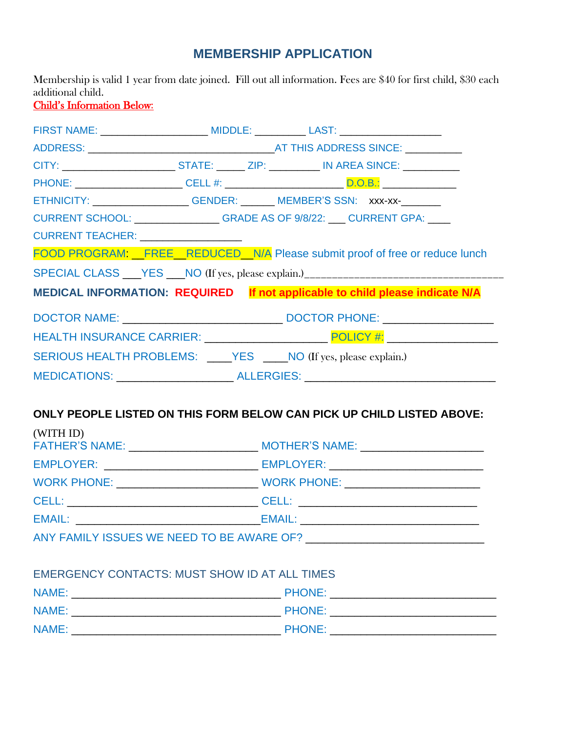# **MEMBERSHIP APPLICATION**

Membership is valid 1 year from date joined. Fill out all information. Fees are \$40 for first child, \$30 each additional child.

# Child's Information Below:

|                                      | ETHNICITY: __________________GENDER: ______ MEMBER'S SSN: xxx-xx-_______          |  |
|--------------------------------------|-----------------------------------------------------------------------------------|--|
|                                      | CURRENT SCHOOL: ________________GRADE AS OF 9/8/22: ___ CURRENT GPA: ____         |  |
| CURRENT TEACHER: ___________________ |                                                                                   |  |
|                                      | FOOD PROGRAM: FREE REDUCED N/A Please submit proof of free or reduce lunch        |  |
|                                      | SPECIAL CLASS ___ YES ___ NO (If yes, please explain.)___________________________ |  |
|                                      | MEDICAL INFORMATION: REQUIRED If not applicable to child please indicate N/A      |  |
|                                      |                                                                                   |  |
|                                      |                                                                                   |  |
|                                      | SERIOUS HEALTH PROBLEMS: ____ YES ____ NO (If yes, please explain.)               |  |
|                                      | MEDICATIONS: _______________________ALLERGIES: _________________________________  |  |
|                                      |                                                                                   |  |

# **ONLY PEOPLE LISTED ON THIS FORM BELOW CAN PICK UP CHILD LISTED ABOVE:**

| (WITH ID) |                                                                                  |
|-----------|----------------------------------------------------------------------------------|
|           |                                                                                  |
|           | WORK PHONE: ____________________________WORK PHONE: ____________________________ |
|           |                                                                                  |
|           |                                                                                  |
|           |                                                                                  |

# EMERGENCY CONTACTS: MUST SHOW ID AT ALL TIMES

| NAME: | <b>PHONE:</b> |
|-------|---------------|
| NAME: | <b>PHONE:</b> |
| NAME: | <b>PHONE:</b> |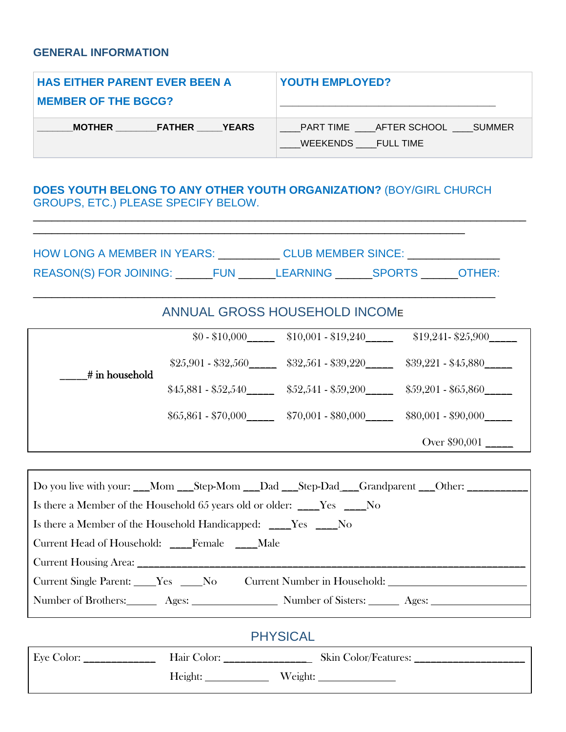# **GENERAL INFORMATION**

| <b>HAS EITHER PARENT EVER BEEN A</b>                   | <b>YOUTH EMPLOYED?</b>                              |
|--------------------------------------------------------|-----------------------------------------------------|
| <b>MEMBER OF THE BGCG?</b>                             |                                                     |
| <b>EXAMPLE YEARS</b><br><b>MOTHER</b><br><b>FATHER</b> | PART TIME AFTER SCHOOL SUMMER<br>WEEKENDS FULL TIME |

# **DOES YOUTH BELONG TO ANY OTHER YOUTH ORGANIZATION?** (BOY/GIRL CHURCH GROUPS, ETC.) PLEASE SPECIFY BELOW.

| <b>HOW LONG A MEMBER IN YEARS:</b> |            | <b>CLUB MEMBER SINCE:</b> |               |        |
|------------------------------------|------------|---------------------------|---------------|--------|
| <b>REASON(S) FOR JOINING:</b>      | <b>FUN</b> | <b>LEARNING</b>           | <b>SPORTS</b> | OTHER: |

\_\_\_\_\_\_\_\_\_\_\_\_\_\_\_\_\_\_\_\_\_\_\_\_\_\_\_\_\_\_\_\_\_\_\_\_\_\_\_\_\_\_\_\_\_\_\_\_\_\_\_\_\_\_\_\_\_\_\_\_\_\_\_\_\_\_\_\_\_\_\_\_\_\_\_

\_\_\_\_\_\_\_\_\_\_\_\_\_\_\_\_\_\_\_\_\_\_\_\_\_\_\_\_\_\_\_\_\_\_\_\_\_\_\_\_\_\_\_\_\_\_\_\_\_\_\_\_\_\_\_\_\_\_\_\_\_\_\_\_\_\_\_\_\_\_\_\_\_\_\_\_\_\_\_\_

# ANNUAL GROSS HOUSEHOLD INCOME

|                | $$0 - $10,000$      | $$10,001 - $19,240$ | $$19,241 - $25,900$ |
|----------------|---------------------|---------------------|---------------------|
| # in household | $$25,901 - $32,560$ | $$32,561 - $39,220$ | $$39,221 - $45,880$ |
|                | $$45,881 - $52,540$ | $$52,541 - $59,200$ | $$59,201 - $65,860$ |
|                | $$65,861 - $70,000$ | $$70,001 - $80,000$ | $$80,001 - $90,000$ |
|                |                     |                     | Over \$90,001       |

| Do you live with your: __Mom __Step-Mom __Dad __Step-Dad __Grandparent __Other: __________                     |
|----------------------------------------------------------------------------------------------------------------|
| Is there a Member of the Household 65 years old or older: ____Yes ____No                                       |
| Is there a Member of the Household Handicapped: ____Yes ____No                                                 |
| Current Head of Household: ____Female ____Male                                                                 |
|                                                                                                                |
| Current Single Parent: ____Yes ____No Current Number in Household: ______________                              |
| Number of Brothers: ________ Ages: ______________________ Number of Sisters: _______ Ages: ___________________ |
|                                                                                                                |
| <b>PHYSICAL</b>                                                                                                |
|                                                                                                                |

| Eye Color: | Hair Color: |         | Skin Color/Features: |
|------------|-------------|---------|----------------------|
|            | Height:     | Weight: |                      |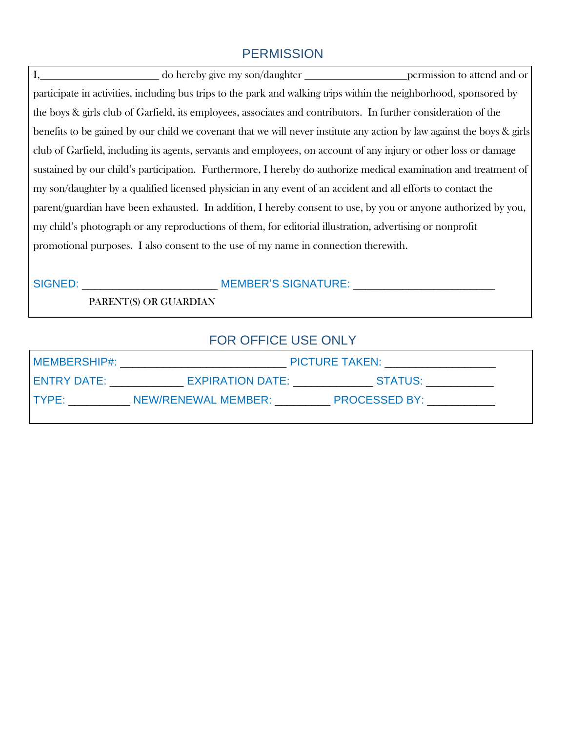# **PERMISSION**

I, \_\_\_\_\_\_\_\_\_\_\_\_\_\_\_\_\_\_\_\_\_ do hereby give my son/daughter \_\_\_\_\_\_\_\_\_\_\_\_\_\_\_\_\_\_ permission to attend and or participate in activities, including bus trips to the park and walking trips within the neighborhood, sponsored by the boys & girls club of Garfield, its employees, associates and contributors. In further consideration of the benefits to be gained by our child we covenant that we will never institute any action by law against the boys & girls club of Garfield, including its agents, servants and employees, on account of any injury or other loss or damage sustained by our child's participation. Furthermore, I hereby do authorize medical examination and treatment of my son/daughter by a qualified licensed physician in any event of an accident and all efforts to contact the parent/guardian have been exhausted. In addition, I hereby consent to use, by you or anyone authorized by you, my child's photograph or any reproductions of them, for editorial illustration, advertising or nonprofit promotional purposes. I also consent to the use of my name in connection therewith.

| <b>SIGNED:</b> | <b>MEMBER'S SIGNATURE:</b> |  |
|----------------|----------------------------|--|
|                |                            |  |

PARENT(S) OR GUARDIAN

# FOR OFFICE USE ONLY

| MEMBERSHIP#: | PICTURE TAKEN: __________________ |                      |  |
|--------------|-----------------------------------|----------------------|--|
| LENTRY DATE: | EXPIRATION DATE:                  | STATUS:              |  |
| I TYPF:      | NEW/RENEWAL MEMBER:               | <b>PROCESSED BY:</b> |  |